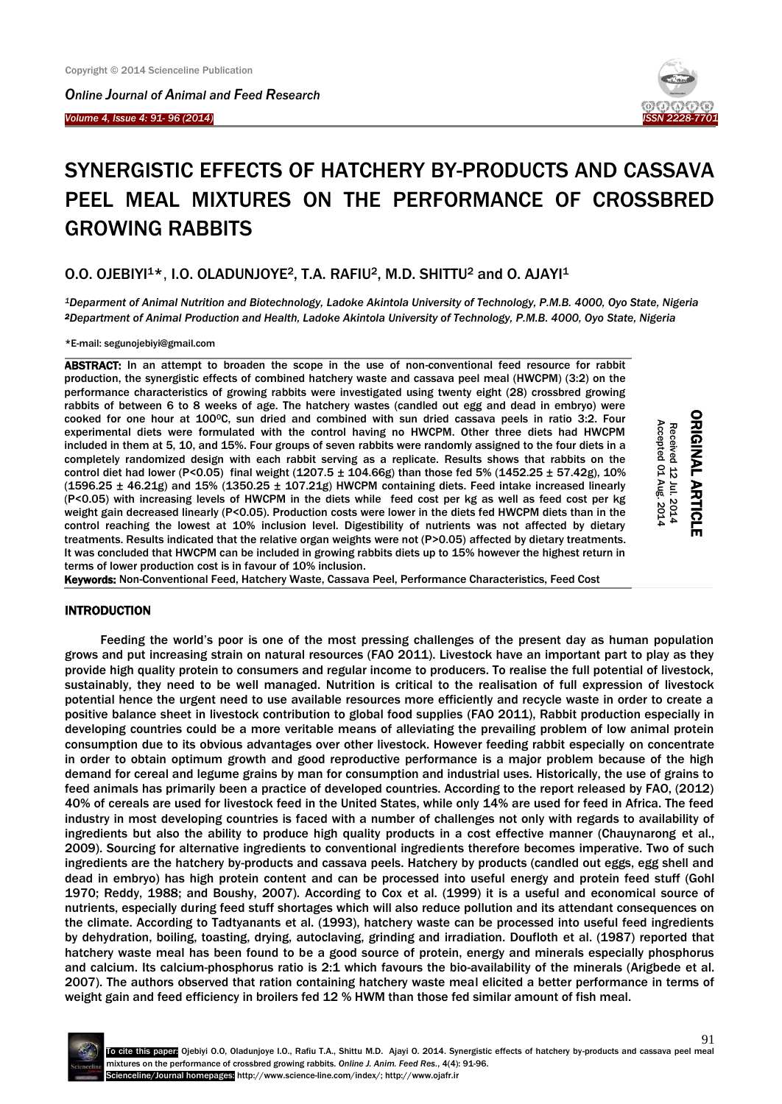*Online Journal of Animal and Feed Research* 

*Volume 4, Issue 4: 91- 96 (2014)* 

Ī



# SYNERGISTIC EFFECTS OF HATCHERY BY-PRODUCTS AND CASSAVA PEEL MEAL MIXTURES ON THE PERFORMANCE OF CROSSBRED GROWING RABBITS

## O.O. OJEBIYI<sup>1\*</sup>, I.O. OLADUNJOYE<sup>2</sup>, T.A. RAFIU<sup>2</sup>, M.D. SHITTU<sup>2</sup> and O. AJAYI<sup>1</sup>

*<sup>1</sup>Deparment of Animal Nutrition and Biotechnology, Ladoke Akintola University of Technology, P.M.B. 4000, Oyo State, Nigeria <sup>2</sup>Department of Animal Production and Health, Ladoke Akintola University of Technology, P.M.B. 4000, Oyo State, Nigeria* 

\*E-mail[: segunojebiyi@gmail.com](mailto:segunojebiyi@gmail.com)

ABSTRACT: In an attempt to broaden the scope in the use of non-conventional feed resource for rabbit production, the synergistic effects of combined hatchery waste and cassava peel meal (HWCPM) (3:2) on the performance characteristics of growing rabbits were investigated using twenty eight (28) crossbred growing rabbits of between 6 to 8 weeks of age. The hatchery wastes (candled out egg and dead in embryo) were cooked for one hour at 100°C, sun dried and combined with sun dried cassava peels in ratio 3:2. Four experimental diets were formulated with the control having no HWCPM. Other three diets had HWCPM included in them at 5, 10, and 15%. Four groups of seven rabbits were randomly assigned to the four diets in a completely randomized design with each rabbit serving as a replicate. Results shows that rabbits on the control diet had lower (P<0.05) final weight (1207.5  $\pm$  104.66g) than those fed 5% (1452.25  $\pm$  57.42g), 10%  $(1596.25 \pm 46.21g)$  and  $15\%$   $(1350.25 \pm 107.21g)$  HWCPM containing diets. Feed intake increased linearly (P<0.05) with increasing levels of HWCPM in the diets while feed cost per kg as well as feed cost per kg weight gain decreased linearly (P<0.05). Production costs were lower in the diets fed HWCPM diets than in the control reaching the lowest at 10% inclusion level. Digestibility of nutrients was not affected by dietary treatments. Results indicated that the relative organ weights were not (P>0.05) affected by dietary treatments. It was concluded that HWCPM can be included in growing rabbits diets up to 15% however the highest return in terms of lower production cost is in favour of 10% inclusion.

ORIGINAL ARTICLE **ORIGINAL ARTICLE** Received 12 Jul. 2014<br>Accepted 01 Aug. 2014 Accepted 01 Received 12 Jul. 2014 Aug. 2014

Keywords: Non-Conventional Feed, Hatchery Waste, Cassava Peel, Performance Characteristics, Feed Cost

#### INTRODUCTION

Feeding the world's poor is one of the most pressing challenges of the present day as human population grows and put increasing strain on natural resources (FAO 2011). Livestock have an important part to play as they provide high quality protein to consumers and regular income to producers. To realise the full potential of livestock, sustainably, they need to be well managed. Nutrition is critical to the realisation of full expression of livestock potential hence the urgent need to use available resources more efficiently and recycle waste in order to create a positive balance sheet in livestock contribution to global food supplies (FAO 2011), Rabbit production especially in developing countries could be a more veritable means of alleviating the prevailing problem of low animal protein consumption due to its obvious advantages over other livestock. However feeding rabbit especially on concentrate in order to obtain optimum growth and good reproductive performance is a major problem because of the high demand for cereal and legume grains by man for consumption and industrial uses. Historically, the use of grains to feed animals has primarily been a practice of developed countries. According to the report released by FAO, (2012) 40% of cereals are used for livestock feed in the United States, while only 14% are used for feed in Africa. The feed industry in most developing countries is faced with a number of challenges not only with regards to availability of ingredients but also the ability to produce high quality products in a cost effective manner (Chauynarong et al., 2009). Sourcing for alternative ingredients to conventional ingredients therefore becomes imperative. Two of such ingredients are the hatchery by-products and cassava peels. Hatchery by products (candled out eggs, egg shell and dead in embryo) has high protein content and can be processed into useful energy and protein feed stuff (Gohl 1970; Reddy, 1988; and Boushy, 2007). According to Cox et al. (1999) it is a useful and economical source of nutrients, especially during feed stuff shortages which will also reduce pollution and its attendant consequences on the climate. According to Tadtyanants et al. (1993), hatchery waste can be processed into useful feed ingredients by dehydration, boiling, toasting, drying, autoclaving, grinding and irradiation. Doufloth et al. (1987) reported that hatchery waste meal has been found to be a good source of protein, energy and minerals especially phosphorus and calcium. Its calcium-phosphorus ratio is 2:1 which favours the bio-availability of the minerals (Arigbede et al. 2007). The authors observed that ration containing hatchery waste meal elicited a better performance in terms of weight gain and feed efficiency in broilers fed 12 % HWM than those fed similar amount of fish meal.

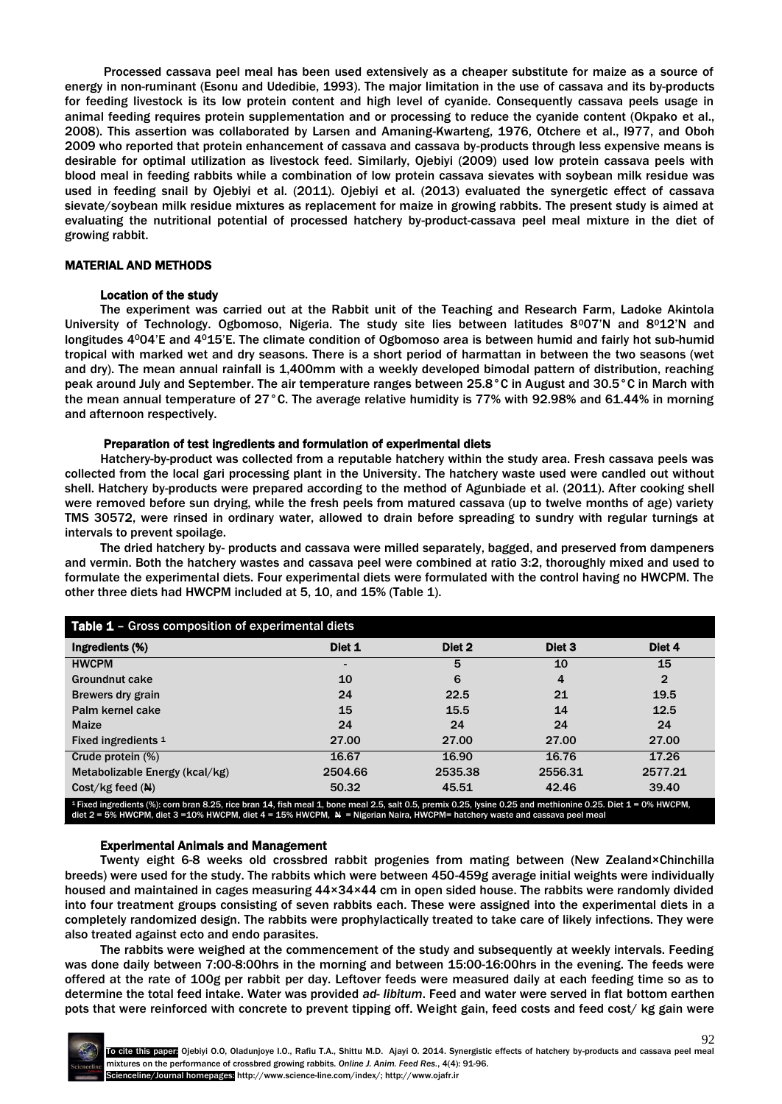Processed cassava peel meal has been used extensively as a cheaper substitute for maize as a source of energy in non-ruminant (Esonu and Udedibie, 1993). The major limitation in the use of cassava and its by-products for feeding livestock is its low protein content and high level of cyanide. Consequently cassava peels usage in animal feeding requires protein supplementation and or processing to reduce the cyanide content (Okpako et al., 2008). This assertion was collaborated by Larsen and Amaning-Kwarteng, 1976, Otchere et al., l977, and Oboh 2009 who reported that protein enhancement of cassava and cassava by-products through less expensive means is desirable for optimal utilization as livestock feed. Similarly, Ojebiyi (2009) used low protein cassava peels with blood meal in feeding rabbits while a combination of low protein cassava sievates with soybean milk residue was used in feeding snail by Ojebiyi et al. (2011). Ojebiyi et al. (2013) evaluated the synergetic effect of cassava sievate/soybean milk residue mixtures as replacement for maize in growing rabbits. The present study is aimed at evaluating the nutritional potential of processed hatchery by-product-cassava peel meal mixture in the diet of growing rabbit.

#### MATERIAL AND METHODS

#### Location of the study

The experiment was carried out at the Rabbit unit of the Teaching and Research Farm, Ladoke Akintola University of Technology. Ogbomoso, Nigeria. The study site lies between latitudes 8°07'N and 8°12'N and longitudes 4004'E and 4015'E. The climate condition of Ogbomoso area is between humid and fairly hot sub-humid tropical with marked wet and dry seasons. There is a short period of harmattan in between the two seasons (wet and dry). The mean annual rainfall is 1,400mm with a weekly developed bimodal pattern of distribution, reaching peak around July and September. The air temperature ranges between 25.8°C in August and 30.5°C in March with the mean annual temperature of 27°C. The average relative humidity is 77% with 92.98% and 61.44% in morning and afternoon respectively.

#### Preparation of test ingredients and formulation of experimental diets

Hatchery-by-product was collected from a reputable hatchery within the study area. Fresh cassava peels was collected from the local gari processing plant in the University. The hatchery waste used were candled out without shell. Hatchery by-products were prepared according to the method of Agunbiade et al. (2011). After cooking shell were removed before sun drying, while the fresh peels from matured cassava (up to twelve months of age) variety TMS 30572, were rinsed in ordinary water, allowed to drain before spreading to sundry with regular turnings at intervals to prevent spoilage.

The dried hatchery by- products and cassava were milled separately, bagged, and preserved from dampeners and vermin. Both the hatchery wastes and cassava peel were combined at ratio 3:2, thoroughly mixed and used to formulate the experimental diets. Four experimental diets were formulated with the control having no HWCPM. The other three diets had HWCPM included at 5, 10, and 15% (Table 1).

| <b>Table 1 - Gross composition of experimental diets</b>                                                                                                     |                |         |                   |              |  |
|--------------------------------------------------------------------------------------------------------------------------------------------------------------|----------------|---------|-------------------|--------------|--|
| Ingredients (%)                                                                                                                                              | Diet 1         | Diet 2  | Diet <sub>3</sub> | Diet 4       |  |
| <b>HWCPM</b>                                                                                                                                                 | $\blacksquare$ | 5       | 10                | 15           |  |
| <b>Groundnut cake</b>                                                                                                                                        | 10             | 6       | 4                 | $\mathbf{2}$ |  |
| Brewers dry grain                                                                                                                                            | 24             | 22.5    | 21                | 19.5         |  |
| Palm kernel cake                                                                                                                                             | 15             | 15.5    | 14                | 12.5         |  |
| <b>Maize</b>                                                                                                                                                 | 24             | 24      | 24                | 24           |  |
| Fixed ingredients 1                                                                                                                                          | 27.00          | 27.00   | 27.00             | 27.00        |  |
| Crude protein (%)                                                                                                                                            | 16.67          | 16.90   | 16.76             | 17.26        |  |
| Metabolizable Energy (kcal/kg)                                                                                                                               | 2504.66        | 2535.38 | 2556.31           | 2577.21      |  |
| $Cost/kg$ feed $(N)$                                                                                                                                         | 50.32          | 45.51   | 42.46             | 39.40        |  |
| 1 Fixed ingredients (%): corn bran 8.25, rice bran 14, fish meal 1, bone meal 2.5, salt 0.5, premix 0.25, lysine 0.25 and methionine 0.25, Diet 1 = 0% HWCPM |                |         |                   |              |  |

1 Fixed ingredients (%): corn bran 8.25, rice bran 14, fish meal 1, bone meal 2.5, salt 0.5, premix 0.25, lysine 0.25 and methionine 0.25. Diet 1 = 0% HWCPM,<br>diet 2 = 5% HWCPM, diet 3 =10% HWCPM, diet 4 = 15% HWCPM, ハッコ N

#### Experimental Animals and Management

Twenty eight 6-8 weeks old crossbred rabbit progenies from mating between (New Zealand×Chinchilla breeds) were used for the study. The rabbits which were between 450-459g average initial weights were individually housed and maintained in cages measuring  $44\times34\times44$  cm in open sided house. The rabbits were randomly divided into four treatment groups consisting of seven rabbits each. These were assigned into the experimental diets in a completely randomized design. The rabbits were prophylactically treated to take care of likely infections. They were also treated against ecto and endo parasites.

The rabbits were weighed at the commencement of the study and subsequently at weekly intervals. Feeding was done daily between 7:00-8:00hrs in the morning and between 15:00-16:00hrs in the evening. The feeds were offered at the rate of 100g per rabbit per day. Leftover feeds were measured daily at each feeding time so as to determine the total feed intake. Water was provided *ad- libitum*. Feed and water were served in flat bottom earthen pots that were reinforced with concrete to prevent tipping off. Weight gain, feed costs and feed cost/ kg gain were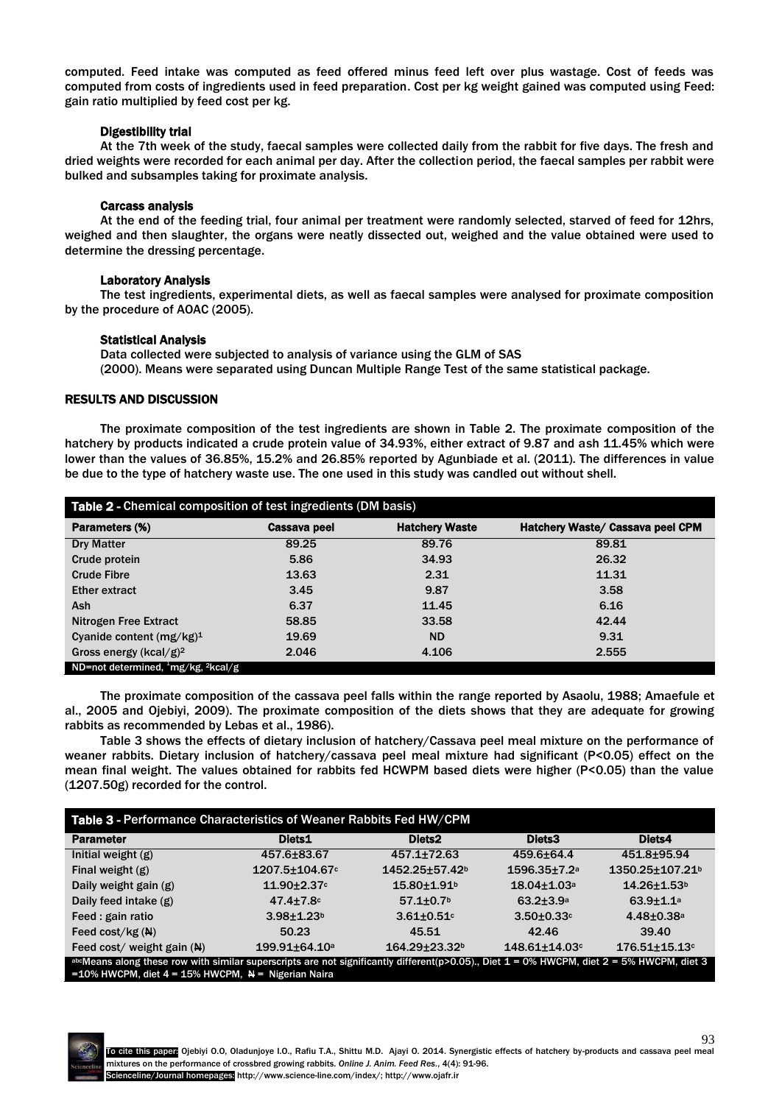computed. Feed intake was computed as feed offered minus feed left over plus wastage. Cost of feeds was computed from costs of ingredients used in feed preparation. Cost per kg weight gained was computed using Feed: gain ratio multiplied by feed cost per kg.

#### Digestibility trial

At the 7th week of the study, faecal samples were collected daily from the rabbit for five days. The fresh and dried weights were recorded for each animal per day. After the collection period, the faecal samples per rabbit were bulked and subsamples taking for proximate analysis.

#### Carcass analysis

At the end of the feeding trial, four animal per treatment were randomly selected, starved of feed for 12hrs, weighed and then slaughter, the organs were neatly dissected out, weighed and the value obtained were used to determine the dressing percentage.

### Laboratory Analysis

The test ingredients, experimental diets, as well as faecal samples were analysed for proximate composition by the procedure of AOAC (2005).

#### Statistical Analysis

Data collected were subjected to analysis of variance using the GLM of SAS (2000). Means were separated using Duncan Multiple Range Test of the same statistical package.

#### RESULTS AND DISCUSSION

The proximate composition of the test ingredients are shown in Table 2. The proximate composition of the hatchery by products indicated a crude protein value of 34.93%, either extract of 9.87 and ash 11.45% which were lower than the values of 36.85%, 15.2% and 26.85% reported by Agunbiade et al. (2011). The differences in value be due to the type of hatchery waste use. The one used in this study was candled out without shell.

| Table 2 - Chemical composition of test ingredients (DM basis) |              |                       |                                  |  |
|---------------------------------------------------------------|--------------|-----------------------|----------------------------------|--|
| Parameters (%)                                                | Cassava peel | <b>Hatchery Waste</b> | Hatchery Waste/ Cassava peel CPM |  |
| <b>Dry Matter</b>                                             | 89.25        | 89.76                 | 89.81                            |  |
| Crude protein                                                 | 5.86         | 34.93                 | 26.32                            |  |
| <b>Crude Fibre</b>                                            | 13.63        | 2.31                  | 11.31                            |  |
| <b>Ether extract</b>                                          | 3.45         | 9.87                  | 3.58                             |  |
| Ash                                                           | 6.37         | 11.45                 | 6.16                             |  |
| Nitrogen Free Extract                                         | 58.85        | 33.58                 | 42.44                            |  |
| Cyanide content (mg/kg) <sup>1</sup>                          | 19.69        | <b>ND</b>             | 9.31                             |  |
| Gross energy (kcal/g) <sup>2</sup>                            | 2.046        | 4.106                 | 2.555                            |  |
| ND=not determined, $mg/kg$ , $2kcal/g$                        |              |                       |                                  |  |

The proximate composition of the cassava peel falls within the range reported by Asaolu, 1988; Amaefule et al., 2005 and Ojebiyi, 2009). The proximate composition of the diets shows that they are adequate for growing rabbits as recommended by Lebas et al., 1986).

Table 3 shows the effects of dietary inclusion of hatchery/Cassava peel meal mixture on the performance of weaner rabbits. Dietary inclusion of hatchery/cassava peel meal mixture had significant (P<0.05) effect on the mean final weight. The values obtained for rabbits fed HCWPM based diets were higher (P<0.05) than the value (1207.50g) recorded for the control.

| Table 3 - Performance Characteristics of Weaner Rabbits Fed HW/CPM                                                                                                                                       |                       |                                 |                                |                               |
|----------------------------------------------------------------------------------------------------------------------------------------------------------------------------------------------------------|-----------------------|---------------------------------|--------------------------------|-------------------------------|
| <b>Parameter</b>                                                                                                                                                                                         | Diets1                | Diets <sub>2</sub>              | Diets3                         | Diets4                        |
| Initial weight $(g)$                                                                                                                                                                                     | 457.6±83.67           | 457.1±72.63                     | 459.6±64.4                     | 451.8±95.94                   |
| Final weight (g)                                                                                                                                                                                         | $1207.5 \pm 104.67$ c | 1452.25±57.42 <sup>b</sup>      | $1596.35 \pm 7.2$ <sup>a</sup> | 1350.25±107.21 <sup>b</sup>   |
| Daily weight gain (g)                                                                                                                                                                                    | $11.90 \pm 2.37$ c    | $15.80 \pm 1.91$ <sup>b</sup>   | $18.04 \pm 1.03$ <sup>a</sup>  | $14.26 \pm 1.53$ <sup>b</sup> |
| Daily feed intake (g)                                                                                                                                                                                    | $47.4 \pm 7.8$ c      | $57.1 \pm 0.7$ <sup>b</sup>     | $63.2 \pm 3.9^a$               | $63.9 + 1.1a$                 |
| Feed : gain ratio                                                                                                                                                                                        | $3.98 + 1.23b$        | $3.61 + 0.51$                   | $3.50 \pm 0.33$ c              | $4.48 \pm 0.38$ a             |
| Feed $cost/kg(M)$                                                                                                                                                                                        | 50.23                 | 45.51                           | 42.46                          | 39.40                         |
| Feed cost/ weight gain (N)                                                                                                                                                                               | $199.91 \pm 64.10^a$  | $164.29 \pm 23.32$ <sup>b</sup> | $148.61 \pm 14.03$ c           | $176.51 \pm 15.13$ c          |
| abcMeans along these row with similar superscripts are not significantly different(p>0.05). Diet $1 = 0\%$ HWCPM, diet $2 = 5\%$ HWCPM, diet 3<br>=10% HWCPM, diet $4 = 15%$ HWCPM, $N =$ Nigerian Naira |                       |                                 |                                |                               |

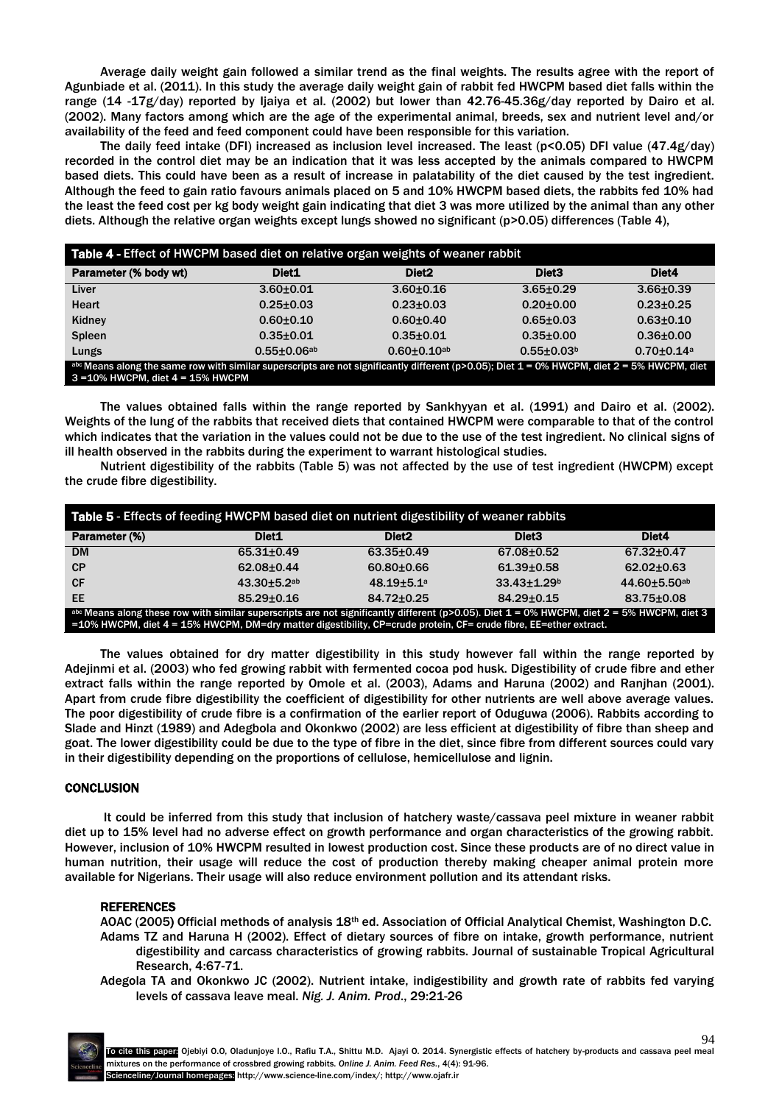Average daily weight gain followed a similar trend as the final weights. The results agree with the report of Agunbiade et al. (2011). In this study the average daily weight gain of rabbit fed HWCPM based diet falls within the range (14 -17g/day) reported by Ijaiya et al. (2002) but lower than 42.76-45.36g/day reported by Dairo et al. (2002). Many factors among which are the age of the experimental animal, breeds, sex and nutrient level and/or availability of the feed and feed component could have been responsible for this variation.

The daily feed intake (DFI) increased as inclusion level increased. The least ( $p$ <0.05) DFI value (47.4g/day) recorded in the control diet may be an indication that it was less accepted by the animals compared to HWCPM based diets. This could have been as a result of increase in palatability of the diet caused by the test ingredient. Although the feed to gain ratio favours animals placed on 5 and 10% HWCPM based diets, the rabbits fed 10% had the least the feed cost per kg body weight gain indicating that diet 3 was more utilized by the animal than any other diets. Although the relative organ weights except lungs showed no significant (p>0.05) differences (Table 4),

| Table 4 - Effect of HWCPM based diet on relative organ weights of weaner rabbit                                                                   |                    |                   |                              |                 |
|---------------------------------------------------------------------------------------------------------------------------------------------------|--------------------|-------------------|------------------------------|-----------------|
| Parameter (% body wt)                                                                                                                             | Diet <sub>1</sub>  | Diet <sub>2</sub> | Diet <sub>3</sub>            | Diet4           |
| Liver                                                                                                                                             | $3.60 + 0.01$      | $3.60 + 0.16$     | $3.65 \pm 0.29$              | $3.66 \pm 0.39$ |
| <b>Heart</b>                                                                                                                                      | $0.25 \pm 0.03$    | $0.23 \pm 0.03$   | $0.20 \pm 0.00$              | $0.23 + 0.25$   |
| Kidney                                                                                                                                            | $0.60 + 0.10$      | $0.60 + 0.40$     | $0.65 \pm 0.03$              | $0.63 + 0.10$   |
| <b>Spleen</b>                                                                                                                                     | $0.35 + 0.01$      | $0.35 \pm 0.01$   | $0.35 \pm 0.00$              | $0.36 + 0.00$   |
| Lungs                                                                                                                                             | $0.55 \pm 0.06$ ab | $0.60 + 0.10$ ab  | $0.55 \pm 0.03$ <sup>b</sup> | $0.70 + 0.14$ a |
| abc Means along the same row with similar superscripts are not significantly different (p>0.05); Diet $1 = 0\%$ HWCPM, diet $2 = 5\%$ HWCPM, diet |                    |                   |                              |                 |
| $3 = 10\%$ HWCPM, diet $4 = 15\%$ HWCPM                                                                                                           |                    |                   |                              |                 |

The values obtained falls within the range reported by Sankhyyan et al. (1991) and Dairo et al. (2002). Weights of the lung of the rabbits that received diets that contained HWCPM were comparable to that of the control which indicates that the variation in the values could not be due to the use of the test ingredient. No clinical signs of ill health observed in the rabbits during the experiment to warrant histological studies.

Nutrient digestibility of the rabbits (Table 5) was not affected by the use of test ingredient (HWCPM) except the crude fibre digestibility.

| Table 5 - Effects of feeding HWCPM based diet on nutrient digestibility of weaner rabbits                                                                                                                                                                               |                   |                   |                   |                     |
|-------------------------------------------------------------------------------------------------------------------------------------------------------------------------------------------------------------------------------------------------------------------------|-------------------|-------------------|-------------------|---------------------|
| Parameter (%)                                                                                                                                                                                                                                                           | Diet <sub>1</sub> | Diet <sub>2</sub> | Diet <sub>3</sub> | Diet4               |
| <b>DM</b>                                                                                                                                                                                                                                                               | $65.31 \pm 0.49$  | $63.35 \pm 0.49$  | 67.08±0.52        | 67.32±0.47          |
| CP                                                                                                                                                                                                                                                                      | 62.08±0.44        | $60.80 + 0.66$    | $61.39 \pm 0.58$  | $62.02 \pm 0.63$    |
| <b>CF</b>                                                                                                                                                                                                                                                               | $43.30 + 5.2$ ab  | $48.19 + 5.1a$    | $33.43 \pm 1.29$  | $44.60 \pm 5.50$ ab |
| <b>EE</b>                                                                                                                                                                                                                                                               | $85.29 \pm 0.16$  | 84.72±0.25        | $84.29 \pm 0.15$  | 83.75±0.08          |
| abc Means along these row with similar superscripts are not significantly different ( $p>0.05$ ). Diet $1 = 0%$ HWCPM, diet $2 = 5%$ HWCPM, diet 3<br>=10% HWCPM, diet 4 = 15% HWCPM, DM=dry matter digestibility, CP=crude protein, CF= crude fibre, EE=ether extract. |                   |                   |                   |                     |

The values obtained for dry matter digestibility in this study however fall within the range reported by Adejinmi et al. (2003) who fed growing rabbit with fermented cocoa pod husk. Digestibility of crude fibre and ether extract falls within the range reported by Omole et al. (2003), Adams and Haruna (2002) and Ranjhan (2001). Apart from crude fibre digestibility the coefficient of digestibility for other nutrients are well above average values. The poor digestibility of crude fibre is a confirmation of the earlier report of Oduguwa (2006). Rabbits according to Slade and Hinzt (1989) and Adegbola and Okonkwo (2002) are less efficient at digestibility of fibre than sheep and goat. The lower digestibility could be due to the type of fibre in the diet, since fibre from different sources could vary in their digestibility depending on the proportions of cellulose, hemicellulose and lignin.

### **CONCLUSION**

 It could be inferred from this study that inclusion of hatchery waste/cassava peel mixture in weaner rabbit diet up to 15% level had no adverse effect on growth performance and organ characteristics of the growing rabbit. However, inclusion of 10% HWCPM resulted in lowest production cost. Since these products are of no direct value in human nutrition, their usage will reduce the cost of production thereby making cheaper animal protein more available for Nigerians. Their usage will also reduce environment pollution and its attendant risks.

#### REFERENCES

AOAC (2005) Official methods of analysis 18<sup>th</sup> ed. Association of Official Analytical Chemist, Washington D.C. Adams TZ and Haruna H (2002). Effect of dietary sources of fibre on intake, growth performance, nutrient digestibility and carcass characteristics of growing rabbits. Journal of sustainable Tropical Agricultural Research, 4:67-71.

Adegola TA and Okonkwo JC (2002). Nutrient intake, indigestibility and growth rate of rabbits fed varying levels of cassava leave meal. *Nig. J. Anim. Prod*., 29:21-26



94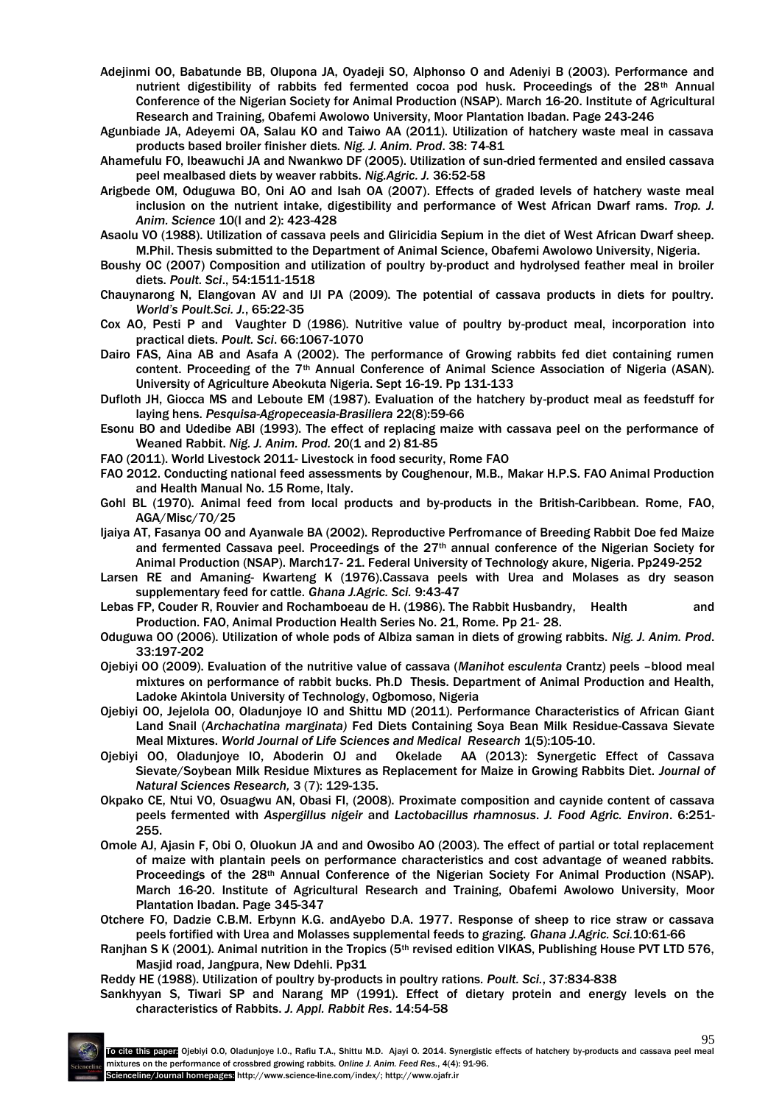- Adejinmi OO, Babatunde BB, Olupona JA, Oyadeji SO, Alphonso O and Adeniyi B (2003). Performance and nutrient digestibility of rabbits fed fermented cocoa pod husk. Proceedings of the 28<sup>th</sup> Annual Conference of the Nigerian Society for Animal Production (NSAP). March 16-20. Institute of Agricultural Research and Training, Obafemi Awolowo University, Moor Plantation Ibadan. Page 243-246
- Agunbiade JA, Adeyemi OA, Salau KO and Taiwo AA (2011). Utilization of hatchery waste meal in cassava products based broiler finisher diets*. Nig. J. Anim. Prod*. 38: 74-81
- Ahamefulu FO, Ibeawuchi JA and Nwankwo DF (2005). Utilization of sun-dried fermented and ensiled cassava peel mealbased diets by weaver rabbits. *Nig.Agric. J.* 36:52-58
- Arigbede OM, Oduguwa BO, Oni AO and Isah OA (2007). Effects of graded levels of hatchery waste meal inclusion on the nutrient intake, digestibility and performance of West African Dwarf rams. *Trop. J. Anim. Science* 10(I and 2): 423-428
- Asaolu VO (1988). Utilization of cassava peels and Gliricidia Sepium in the diet of West African Dwarf sheep. M.Phil. Thesis submitted to the Department of Animal Science, Obafemi Awolowo University, Nigeria.
- Boushy OC (2007) Composition and utilization of poultry by-product and hydrolysed feather meal in broiler diets. *Poult. Sci*., 54:1511-1518
- Chauynarong N, Elangovan AV and IJI PA (2009). The potential of cassava products in diets for poultry. *World's Poult.Sci. J.*, 65:22-35
- Cox AO, Pesti P and Vaughter D (1986). Nutritive value of poultry by-product meal, incorporation into practical diets. *Poult. Sci*. 66:1067-1070
- Dairo FAS, Aina AB and Asafa A (2002). The performance of Growing rabbits fed diet containing rumen content. Proceeding of the 7<sup>th</sup> Annual Conference of Animal Science Association of Nigeria (ASAN). University of Agriculture Abeokuta Nigeria. Sept 16-19. Pp 131-133
- Dufloth JH, Giocca MS and Leboute EM (1987). Evaluation of the hatchery by-product meal as feedstuff for laying hens. *Pesquisa-Agropeceasia-Brasiliera* 22(8):59-66
- Esonu BO and Udedibe ABI (1993). The effect of replacing maize with cassava peel on the performance of Weaned Rabbit. *Nig. J. Anim. Prod.* 20(1 and 2) 81-85
- FAO (2011). World Livestock 2011- Livestock in food security, Rome FAO
- FAO 2012. Conducting national feed assessments by Coughenour, M.B., Makar H.P.S. FAO Animal Production and Health Manual No. 15 Rome, Italy.
- Gohl BL (1970). Animal feed from local products and by-products in the British-Caribbean. Rome, FAO, AGA/Misc/70/25
- Ijaiya AT, Fasanya OO and Ayanwale BA (2002). Reproductive Perfromance of Breeding Rabbit Doe fed Maize and fermented Cassava peel. Proceedings of the  $27<sup>th</sup>$  annual conference of the Nigerian Society for Animal Production (NSAP). March17- 21. Federal University of Technology akure, Nigeria. Pp249-252
- Larsen RE and Amaning- Kwarteng K (1976).Cassava peels with Urea and Molases as dry season supplementary feed for cattle*. Ghana J.Agric. Sci.* 9:43-47
- Lebas FP, Couder R, Rouvier and Rochamboeau de H. (1986). The Rabbit Husbandry, Health and Production. FAO, Animal Production Health Series No. 21, Rome. Pp 21- 28.
- Oduguwa OO (2006). Utilization of whole pods of Albiza saman in diets of growing rabbits. *Nig. J. Anim. Prod*. 33:197-202
- Ojebiyi OO (2009). Evaluation of the nutritive value of cassava (*Manihot esculenta* Crantz) peels –blood meal mixtures on performance of rabbit bucks. Ph.D Thesis. Department of Animal Production and Health, Ladoke Akintola University of Technology, Ogbomoso, Nigeria
- Ojebiyi OO, Jejelola OO, Oladunjoye IO and Shittu MD (2011). Performance Characteristics of African Giant Land Snail (*Archachatina marginata)* Fed Diets Containing Soya Bean Milk Residue-Cassava Sievate Meal Mixtures. *World Journal of Life Sciences and Medical Research* 1(5):105-10.
- Ojebiyi OO, Oladunjoye IO, Aboderin OJ and Okelade AA (2013): Synergetic Effect of Cassava Sievate/Soybean Milk Residue Mixtures as Replacement for Maize in Growing Rabbits Diet. *Journal of Natural Sciences Research,* 3 (7): 129-135.
- Okpako CE, Ntui VO, Osuagwu AN, Obasi FI, (2008). Proximate composition and caynide content of cassava peels fermented with *Aspergillus nigeir* and *Lactobacillus rhamnosus*. *J. Food Agric. Environ*. 6:251- 255.
- Omole AJ, Ajasin F, Obi O, Oluokun JA and and Owosibo AO (2003). The effect of partial or total replacement of maize with plantain peels on performance characteristics and cost advantage of weaned rabbits. Proceedings of the 28th Annual Conference of the Nigerian Society For Animal Production (NSAP). March 16-20. Institute of Agricultural Research and Training, Obafemi Awolowo University, Moor Plantation Ibadan. Page 345-347
- Otchere FO, Dadzie C.B.M. Erbynn K.G. andAyebo D.A. 1977. Response of sheep to rice straw or cassava peels fortified with Urea and Molasses supplemental feeds to grazing. *Ghana J.Agric. Sci.*10:61-66
- Ranjhan S K (2001). Animal nutrition in the Tropics (5<sup>th</sup> revised edition VIKAS, Publishing House PVT LTD 576, Masjid road, Jangpura, New Ddehli. Pp31
- Reddy HE (1988). Utilization of poultry by-products in poultry rations*. Poult. Sci.*, 37:834-838
- Sankhyyan S, Tiwari SP and Narang MP (1991). Effect of dietary protein and energy levels on the characteristics of Rabbits. *J. Appl. Rabbit Res*. 14:54-58



95